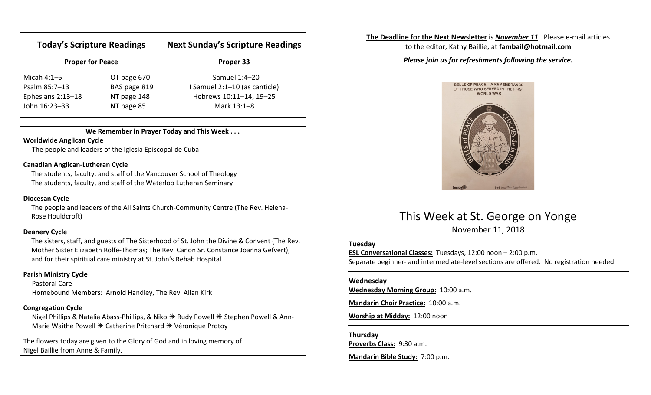| <b>Today's Scripture Readings</b><br><b>Proper for Peace</b> |                           | <b>Next Sunday's Scripture Readings</b><br>Proper 33 |
|--------------------------------------------------------------|---------------------------|------------------------------------------------------|
|                                                              |                           |                                                      |
| Psalm 85:7-13                                                | BAS page 819              | I Samuel 2:1-10 (as canticle)                        |
| Ephesians 2:13-18<br>John 16:23-33                           | NT page 148<br>NT page 85 | Hebrews 10:11-14, 19-25<br>Mark 13:1-8               |
|                                                              |                           |                                                      |

### We Remember in Prayer Today and This Week . . .

### Worldwide Anglican Cycle

The people and leaders of the Iglesia Episcopal de Cuba

### Canadian Anglican-Lutheran Cycle

 The students, faculty, and staff of the Vancouver School of Theology The students, faculty, and staff of the Waterloo Lutheran Seminary

### Diocesan Cycle

The people and leaders of the All Saints Church-Community Centre (The Rev. Helena-Rose Houldcroft)

### Deanery Cycle

The sisters, staff, and guests of The Sisterhood of St. John the Divine & Convent (The Rev. Mother Sister Elizabeth Rolfe-Thomas; The Rev. Canon Sr. Constance Joanna Gefvert), and for their spiritual care ministry at St. John's Rehab Hospital

### Parish Ministry Cycle

Pastoral Care Homebound Members: Arnold Handley, The Rev. Allan Kirk

### Congregation Cycle

Nigel Phillips & Natalia Abass-Phillips, & Niko \* Rudy Powell \* Stephen Powell & Ann-Marie Waithe Powell  $*$  Catherine Pritchard  $*$  Véronique Protoy

The flowers today are given to the Glory of God and in loving memory of Nigel Baillie from Anne & Family.

### The Deadline for the Next Newsletter is November 11. Please e-mail articles

to the editor, Kathy Baillie, at fambail@hotmail.com

### Please join us for refreshments following the service.



## This Week at St. George on Yonge

November 11, 2018

### Tuesday

ESL Conversational Classes: Tuesdays, 12:00 noon – 2:00 p.m. Separate beginner- and intermediate-level sections are offered. No registration needed.

### Wednesday

Wednesday Morning Group: 10:00 a.m.

Mandarin Choir Practice: 10:00 a.m.

Worship at Midday: 12:00 noon

### Thursday

Proverbs Class: 9:30 a.m.

Mandarin Bible Study: 7:00 p.m.